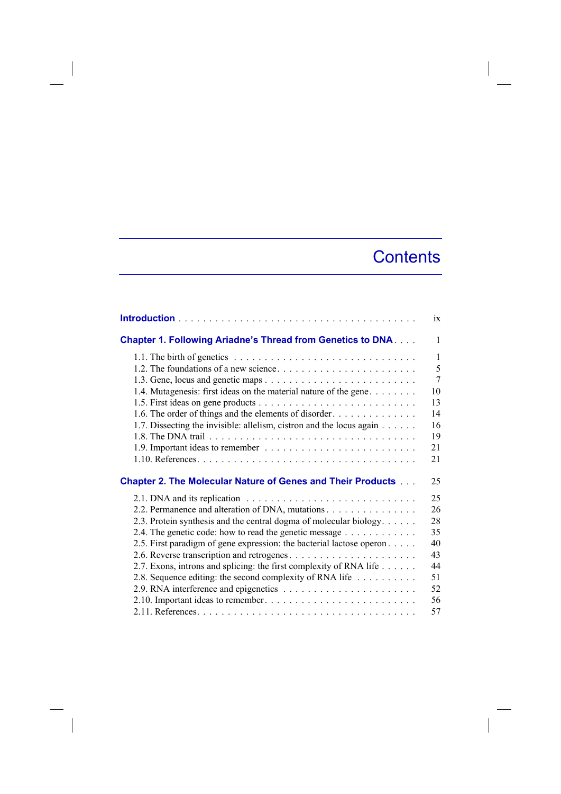## **Contents**

|                                                                                               | ix           |
|-----------------------------------------------------------------------------------------------|--------------|
| <b>Chapter 1. Following Ariadne's Thread from Genetics to DNA</b>                             | $\mathbf{1}$ |
|                                                                                               | $\mathbf{1}$ |
|                                                                                               | 5            |
|                                                                                               | 7            |
| 1.4. Mutagenesis: first ideas on the material nature of the gene                              | 10           |
|                                                                                               | 13           |
| 1.6. The order of things and the elements of disorder                                         | 14           |
| 1.7. Dissecting the invisible: allelism, cistron and the locus again                          | 16           |
|                                                                                               | 19           |
|                                                                                               | 21           |
|                                                                                               | 21           |
| <b>Chapter 2. The Molecular Nature of Genes and Their Products </b>                           | 25           |
| 2.1. DNA and its replication $\ldots \ldots \ldots \ldots \ldots \ldots \ldots \ldots \ldots$ | 25           |
| 2.2. Permanence and alteration of DNA, mutations                                              | 26           |
| 2.3. Protein synthesis and the central dogma of molecular biology.                            | 28           |
| 2.4. The genetic code: how to read the genetic message                                        | 35           |
| 2.5. First paradigm of gene expression: the bacterial lactose operon                          | 40           |
|                                                                                               | 43           |
| 2.7. Exons, introns and splicing: the first complexity of RNA life                            | 44           |
| 2.8. Sequence editing: the second complexity of RNA life                                      | 51           |
|                                                                                               | 52           |
|                                                                                               | 56           |
|                                                                                               | 57           |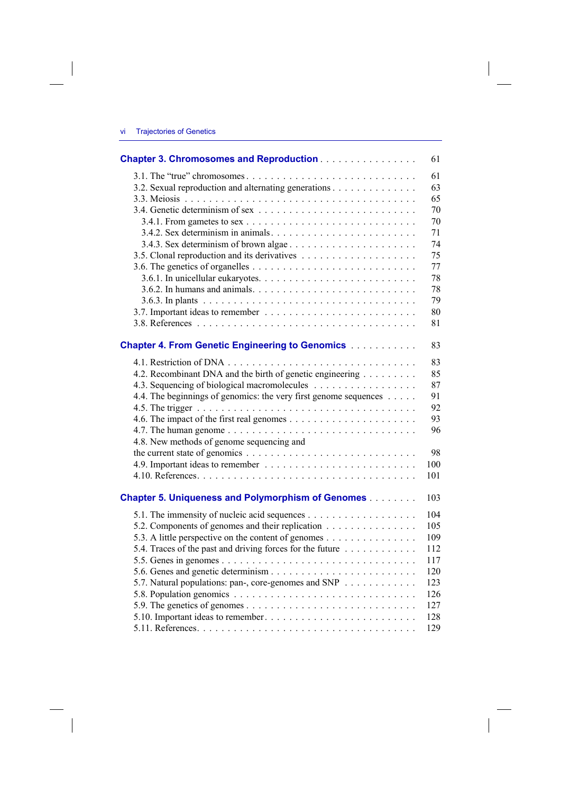$\overline{\phantom{a}}$ 

 $\begin{array}{c} \hline \end{array}$ 

| <b>Chapter 3. Chromosomes and Reproduction</b>                   | 61  |
|------------------------------------------------------------------|-----|
|                                                                  | 61  |
| 3.2. Sexual reproduction and alternating generations             | 63  |
|                                                                  | 65  |
|                                                                  | 70  |
|                                                                  | 70  |
|                                                                  | 71  |
|                                                                  | 74  |
|                                                                  | 75  |
|                                                                  | 77  |
|                                                                  | 78  |
|                                                                  | 78  |
|                                                                  | 79  |
|                                                                  | 80  |
|                                                                  | 81  |
|                                                                  |     |
| <b>Chapter 4. From Genetic Engineering to Genomics</b>           | 83  |
|                                                                  | 83  |
| 4.2. Recombinant DNA and the birth of genetic engineering        | 85  |
| 4.3. Sequencing of biological macromolecules                     | 87  |
| 4.4. The beginnings of genomics: the very first genome sequences | 91  |
|                                                                  | 92  |
|                                                                  | 93  |
|                                                                  | 96  |
| 4.8. New methods of genome sequencing and                        |     |
|                                                                  | 98  |
|                                                                  | 100 |
|                                                                  | 101 |
|                                                                  |     |
| <b>Chapter 5. Uniqueness and Polymorphism of Genomes</b>         | 103 |
|                                                                  | 104 |
| 5.2. Components of genomes and their replication                 | 105 |
| 5.3. A little perspective on the content of genomes              | 109 |
| 5.4. Traces of the past and driving forces for the future        | 112 |
|                                                                  | 117 |
|                                                                  | 120 |
| 5.7. Natural populations: pan-, core-genomes and SNP             | 123 |
|                                                                  | 126 |
|                                                                  | 127 |
|                                                                  | 128 |
|                                                                  | 129 |

 $\Big\}$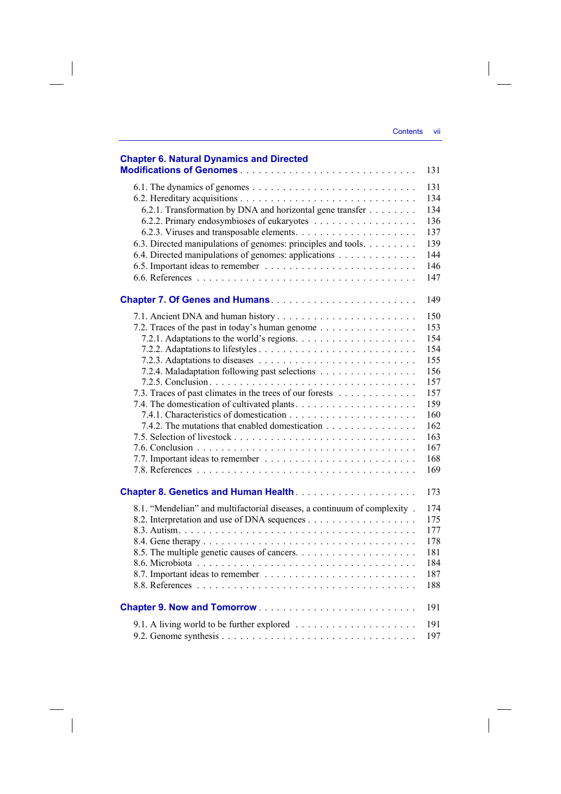$\overline{\phantom{a}}$ 

| <b>Chapter 6. Natural Dynamics and Directed</b><br>131                                                                                                                                                                                                                                                                    |
|---------------------------------------------------------------------------------------------------------------------------------------------------------------------------------------------------------------------------------------------------------------------------------------------------------------------------|
| 131<br>134<br>6.2.1. Transformation by DNA and horizontal gene transfer<br>134<br>136<br>137<br>6.3. Directed manipulations of genomes: principles and tools.<br>139<br>144<br>6.4. Directed manipulations of genomes: applications<br>146<br>147                                                                         |
| 149                                                                                                                                                                                                                                                                                                                       |
| 150<br>153<br>7.2. Traces of the past in today's human genome<br>154<br>154<br>155<br>7.2.4. Maladaptation following past selections<br>156<br>157<br>157<br>7.3. Traces of past climates in the trees of our forests<br>159<br>160<br>7.4.2. The mutations that enabled domestication<br>162<br>163<br>167<br>168<br>169 |
| 173                                                                                                                                                                                                                                                                                                                       |
| 8.1. "Mendelian" and multifactorial diseases, a continuum of complexity.<br>174<br>175<br>177<br>178<br>181<br>184<br>187<br>188                                                                                                                                                                                          |
| 191                                                                                                                                                                                                                                                                                                                       |
| 191<br>197                                                                                                                                                                                                                                                                                                                |

 $\overline{\phantom{a}}$ 

 $\begin{array}{c} \hline \end{array}$